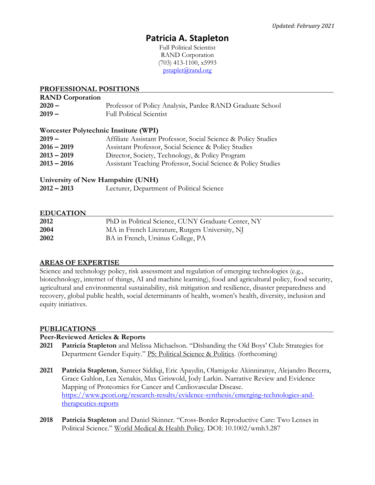# **Patricia A. Stapleton**

Full Political Scientist RAND Corporation (703) 413-1100, x5993 [pstaplet@rand.org](mailto:pstaplet@rand.org)

## **PROFESSIONAL POSITIONS**

# **RAND Corporation 2020 –** Professor of Policy Analysis, Pardee RAND Graduate School **2019 –** Full Political Scientist

## **Worcester Polytechnic Institute (WPI)**

| Affiliate Assistant Professor, Social Science & Policy Studies |
|----------------------------------------------------------------|
| Assistant Professor, Social Science & Policy Studies           |
| Director, Society, Technology, & Policy Program                |
| Assistant Teaching Professor, Social Science & Policy Studies  |
|                                                                |

## **University of New Hampshire (UNH)**

| $2012 - 2013$ | Lecturer, Department of Political Science |  |
|---------------|-------------------------------------------|--|
|---------------|-------------------------------------------|--|

## **EDUCATION**

| 2012 | PhD in Political Science, CUNY Graduate Center, NY |
|------|----------------------------------------------------|
| 2004 | MA in French Literature, Rutgers University, NJ    |
| 2002 | BA in French, Ursinus College, PA                  |

## **AREAS OF EXPERTISE**

Science and technology policy, risk assessment and regulation of emerging technologies (e.g., biotechnology, internet of things, AI and machine learning), food and agricultural policy, food security, agricultural and environmental sustainability, risk mitigation and resilience, disaster preparedness and recovery, global public health, social determinants of health, women's health, diversity, inclusion and equity initiatives.

## **PUBLICATIONS**

## **Peer-Reviewed Articles & Reports**

- **2021 Patricia Stapleton** and Melissa Michaelson. "Disbanding the Old Boys' Club: Strategies for Department Gender Equity." PS: Political Science & Politics. (forthcoming)
- **2021 Patricia Stapleton**, Sameer Siddiqi, Eric Apaydin, Olamigoke Akinniranye, Alejandro Becerra, Grace Gahlon, Lea Xenakis, Max Griswold, Jody Larkin. Narrative Review and Evidence Mapping of Proteomics for Cancer and Cardiovascular Disease. [https://www.pcori.org/research-results/evidence-synthesis/emerging-technologies-and](https://www.pcori.org/research-results/evidence-synthesis/emerging-technologies-and-therapeutics-reports)[therapeutics-reports](https://www.pcori.org/research-results/evidence-synthesis/emerging-technologies-and-therapeutics-reports)
- **2018 Patricia Stapleton** and Daniel Skinner. "Cross-Border Reproductive Care: Two Lenses in Political Science." World Medical & Health Policy. DOI: 10.1002/wmh3.287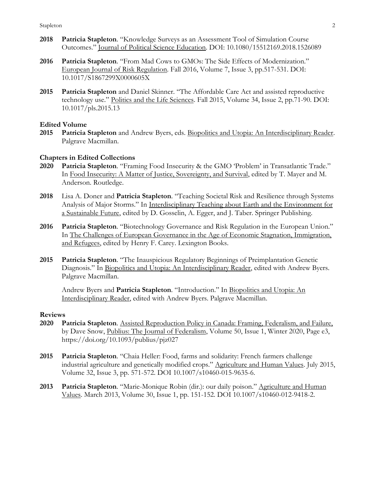- **2018 Patricia Stapleton**. "Knowledge Surveys as an Assessment Tool of Simulation Course Outcomes." Journal of Political Science Education. DOI: 10.1080/15512169.2018.1526089
- **2016 Patricia Stapleton**. "From Mad Cows to GMOs: The Side Effects of Modernization." European Journal of Risk Regulation. Fall 2016, Volume 7, Issue 3, pp.517-531. DOI: 10.1017/S1867299X0000605X
- **2015 Patricia Stapleton** and Daniel Skinner. "The Affordable Care Act and assisted reproductive technology use." Politics and the Life Sciences. Fall 2015, Volume 34, Issue 2, pp.71-90. DOI: 10.1017/pls.2015.13

#### **Edited Volume**

**2015 Patricia Stapleton** and Andrew Byers, eds. Biopolitics and Utopia: An Interdisciplinary Reader. Palgrave Macmillan.

## **Chapters in Edited Collections**

- **2020 Patricia Stapleton**. "Framing Food Insecurity & the GMO 'Problem' in Transatlantic Trade." In Food Insecurity: A Matter of Justice, Sovereignty, and Survival, edited by T. Mayer and M. Anderson. Routledge.
- **2018** Lisa A. Doner and **Patricia Stapleton**. "Teaching Societal Risk and Resilience through Systems Analysis of Major Storms." In Interdisciplinary Teaching about Earth and the Environment for a Sustainable Future, edited by D. Gosselin, A. Egger, and J. Taber. Springer Publishing.
- **2016 Patricia Stapleton**. "Biotechnology Governance and Risk Regulation in the European Union." In The Challenges of European Governance in the Age of Economic Stagnation, Immigration, and Refugees, edited by Henry F. Carey. Lexington Books.
- **2015 Patricia Stapleton**. "The Inauspicious Regulatory Beginnings of Preimplantation Genetic Diagnosis." In Biopolitics and Utopia: An Interdisciplinary Reader, edited with Andrew Byers. Palgrave Macmillan.

Andrew Byers and **Patricia Stapleton**. "Introduction." In Biopolitics and Utopia: An Interdisciplinary Reader, edited with Andrew Byers. Palgrave Macmillan.

#### **Reviews**

- **2020 Patricia Stapleton**. Assisted Reproduction Policy in Canada: Framing, Federalism, and Failure, by Dave Snow, Publius: The Journal of Federalism, Volume 50, Issue 1, Winter 2020, Page e3, https://doi.org/10.1093/publius/pjz027
- **2015 Patricia Stapleton**. "Chaia Heller: Food, farms and solidarity: French farmers challenge industrial agriculture and genetically modified crops." Agriculture and Human Values. July 2015, Volume 32, Issue 3, pp. 571-572. DOI 10.1007/s10460-015-9635-6.
- **2013 Patricia Stapleton**. "Marie-Monique Robin (dir.): our daily poison." Agriculture and Human Values. March 2013, Volume 30, Issue 1, pp. 151-152. DOI 10.1007/s10460-012-9418-2.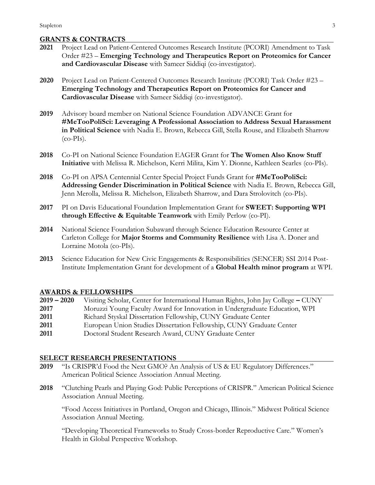# **GRANTS & CONTRACTS**

| 2021 | 0.000 to & 001110.010<br>Project Lead on Patient-Centered Outcomes Research Institute (PCORI) Amendment to Task                                                                                                                                                           |
|------|---------------------------------------------------------------------------------------------------------------------------------------------------------------------------------------------------------------------------------------------------------------------------|
|      | Order #23 – Emerging Technology and Therapeutics Report on Proteomics for Cancer<br>and Cardiovascular Disease with Sameer Siddiqi (co-investigator).                                                                                                                     |
| 2020 | Project Lead on Patient-Centered Outcomes Research Institute (PCORI) Task Order #23 -<br>Emerging Technology and Therapeutics Report on Proteomics for Cancer and<br>Cardiovascular Disease with Sameer Siddiqi (co-investigator).                                        |
| 2019 | Advisory board member on National Science Foundation ADVANCE Grant for<br>#MeTooPoliSci: Leveraging A Professional Association to Address Sexual Harassment<br>in Political Science with Nadia E. Brown, Rebecca Gill, Stella Rouse, and Elizabeth Sharrow<br>$(co-PIs).$ |
| 2018 | Co-PI on National Science Foundation EAGER Grant for The Women Also Know Stuff<br>Initiative with Melissa R. Michelson, Kerri Milita, Kim Y. Dionne, Kathleen Searles (co-PIs).                                                                                           |
| 2018 | Co-PI on APSA Centennial Center Special Project Funds Grant for #MeTooPoliSci:<br>Addressing Gender Discrimination in Political Science with Nadia E. Brown, Rebecca Gill,<br>Jenn Merolla, Melissa R. Michelson, Elizabeth Sharrow, and Dara Strolovitch (co-PIs).       |
| 2017 | PI on Davis Educational Foundation Implementation Grant for SWEET: Supporting WPI<br>through Effective & Equitable Teamwork with Emily Perlow (co-PI).                                                                                                                    |
| 2014 | National Science Foundation Subaward through Science Education Resource Center at<br>Carleton College for Major Storms and Community Resilience with Lisa A. Doner and<br>Lorraine Motola (co-PIs).                                                                       |
| 2013 | Science Education for New Civic Engagements & Responsibilities (SENCER) SSI 2014 Post-<br>Institute Implementation Grant for development of a Global Health minor program at WPI.                                                                                         |

#### **AWARDS & FELLOWSHIPS**

| $2019 - 2020$ | Visiting Scholar, Center for International Human Rights, John Jay College - CUNY |
|---------------|----------------------------------------------------------------------------------|
| 2017          | Moruzzi Young Faculty Award for Innovation in Undergraduate Education, WPI       |
| 2011          | Richard Styskal Dissertation Fellowship, CUNY Graduate Center                    |
| 2011          | European Union Studies Dissertation Fellowship, CUNY Graduate Center             |
| 2011          | Doctoral Student Research Award, CUNY Graduate Center                            |

## **SELECT RESEARCH PRESENTATIONS**

- **2019** "Is CRISPR'd Food the Next GMO? An Analysis of US & EU Regulatory Differences." American Political Science Association Annual Meeting.
- **2018** "Clutching Pearls and Playing God: Public Perceptions of CRISPR." American Political Science Association Annual Meeting.

"Food Access Initiatives in Portland, Oregon and Chicago, Illinois." Midwest Political Science Association Annual Meeting.

"Developing Theoretical Frameworks to Study Cross-border Reproductive Care." Women's Health in Global Perspective Workshop.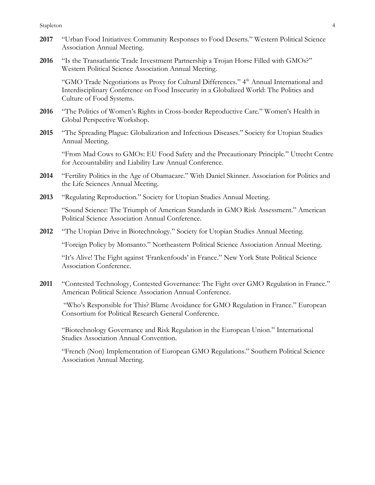Stapleton4

- **2017** "Urban Food Initiatives: Community Responses to Food Deserts." Western Political Science Association Annual Meeting.
- **2016** "Is the Transatlantic Trade Investment Partnership a Trojan Horse Filled with GMOs?" Western Political Science Association Annual Meeting.

"GMO Trade Negotiations as Proxy for Cultural Differences." 4<sup>th</sup> Annual International and Interdisciplinary Conference on Food Insecurity in a Globalized World: The Politics and Culture of Food Systems.

- **2016** "The Politics of Women's Rights in Cross-border Reproductive Care." Women's Health in Global Perspective Workshop.
- **2015** "The Spreading Plague: Globalization and Infectious Diseases." Society for Utopian Studies Annual Meeting.

"From Mad Cows to GMOs: EU Food Safety and the Precautionary Principle." Utrecht Centre for Accountability and Liability Law Annual Conference.

- **2014** "Fertility Politics in the Age of Obamacare." With Daniel Skinner. Association for Politics and the Life Sciences Annual Meeting.
- **2013** "Regulating Reproduction." Society for Utopian Studies Annual Meeting.

"Sound Science: The Triumph of American Standards in GMO Risk Assessment." American Political Science Association Annual Conference.

**2012** "The Utopian Drive in Biotechnology." Society for Utopian Studies Annual Meeting.

"Foreign Policy by Monsanto." Northeastern Political Science Association Annual Meeting.

"It's Alive! The Fight against 'Frankenfoods' in France." New York State Political Science Association Conference.

**2011** "Contested Technology, Contested Governance: The Fight over GMO Regulation in France." American Political Science Association Annual Conference.

"Who's Responsible for This? Blame Avoidance for GMO Regulation in France." European Consortium for Political Research General Conference.

"Biotechnology Governance and Risk Regulation in the European Union." International Studies Association Annual Convention.

"French (Non) Implementation of European GMO Regulations." Southern Political Science Association Annual Meeting.